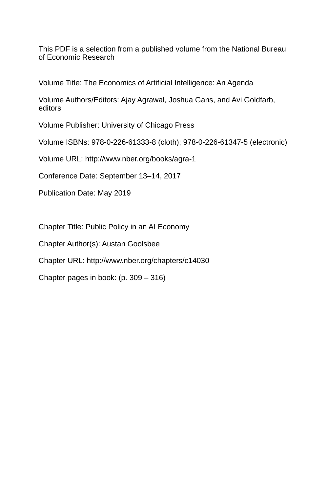This PDF is a selection from a published volume from the National Bureau of Economic Research

Volume Title: The Economics of Artificial Intelligence: An Agenda

Volume Authors/Editors: Ajay Agrawal, Joshua Gans, and Avi Goldfarb, editors

Volume Publisher: University of Chicago Press

Volume ISBNs: 978-0-226-61333-8 (cloth); 978-0-226-61347-5 (electronic)

Volume URL: http://www.nber.org/books/agra-1

Conference Date: September 13–14, 2017

Publication Date: May 2019

Chapter Title: Public Policy in an AI Economy

Chapter Author(s): Austan Goolsbee

Chapter URL: http://www.nber.org/chapters/c14030

Chapter pages in book: (p. 309 – 316)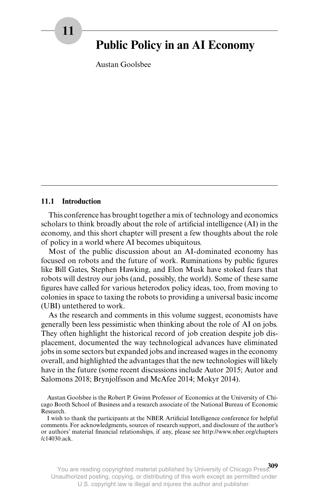# **11**

# **Public Policy in an AI Economy**

Austan Goolsbee

#### **11.1 Introduction**

This conference has brought together a mix of technology and economics scholars to think broadly about the role of artificial intelligence (AI) in the economy, and this short chapter will present a few thoughts about the role of policy in a world where AI becomes ubiquitous.

Most of the public discussion about an AI- dominated economy has focused on robots and the future of work. Ruminations by public figures like Bill Gates, Stephen Hawking, and Elon Musk have stoked fears that robots will destroy our jobs (and, possibly, the world). Some of these same figures have called for various heterodox policy ideas, too, from moving to colonies in space to taxing the robots to providing a universal basic income (UBI) untethered to work.

As the research and comments in this volume suggest, economists have generally been less pessimistic when thinking about the role of AI on jobs. They often highlight the historical record of job creation despite job displacement, documented the way technological advances have eliminated jobs in some sectors but expanded jobs and increased wages in the economy overall, and highlighted the advantages that the new technologies will likely have in the future (some recent discussions include Autor 2015; Autor and Salomons 2018; Brynjolfsson and McAfee 2014; Mokyr 2014).

Austan Goolsbee is the Robert P. Gwinn Professor of Economics at the University of Chicago Booth School of Business and a research associate of the National Bureau of Economic Research.

I wish to thank the participants at the NBER Artificial Intelligence conference for helpful comments. For acknowledgments, sources of research support, and disclosure of the author's or authors' material financial relationships, if any, please see http://www.nber.org/chapters /c14030.ack.

**309** You are reading copyrighted material published by University of Chicago Press. Unauthorized posting, copying, or distributing of this work except as permitted under U.S. copyright law is illegal and injures the author and publisher.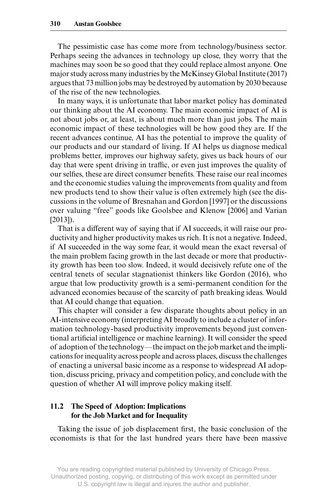The pessimistic case has come more from technology/business sector. Perhaps seeing the advances in technology up close, they worry that the machines may soon be so good that they could replace almost anyone. One major study across many industries by the McKinsey Global Institute (2017) argues that 73 million jobs may be destroyed by automation by 2030 because of the rise of the new technologies.

In many ways, it is unfortunate that labor market policy has dominated our thinking about the AI economy. The main economic impact of AI is not about jobs or, at least, is about much more than just jobs. The main economic impact of these technologies will be how good they are. If the recent advances continue, AI has the potential to improve the quality of our products and our standard of living. If AI helps us diagnose medical problems better, improves our highway safety, gives us back hours of our day that were spent driving in traffic, or even just improves the quality of our selfies, these are direct consumer benefits. These raise our real incomes and the economic studies valuing the improvements from quality and from new products tend to show their value is often extremely high (see the discussions in the volume of Bresnahan and Gordon [1997] or the discussions over valuing "free" goods like Goolsbee and Klenow [2006] and Varian [2013]).

That is a different way of saying that if AI succeeds, it will raise our productivity and higher productivity makes us rich. It is not a negative. Indeed, if AI succeeded in the way some fear, it would mean the exact reversal of the main problem facing growth in the last decade or more that productivity growth has been too slow. Indeed, it would decisively refute one of the central tenets of secular stagnationist thinkers like Gordon (2016), who argue that low productivity growth is a semi- permanent condition for the advanced economies because of the scarcity of path breaking ideas. Would that AI could change that equation.

This chapter will consider a few disparate thoughts about policy in an AI- intensive economy (interpreting AI broadly to include a cluster of information technology- based productivity improvements beyond just conventional artificial intelligence or machine learning). It will consider the speed of adoption of the technology—the impact on the job market and the implications for inequality across people and across places, discuss the challenges of enacting a universal basic income as a response to widespread AI adoption, discuss pricing, privacy and competition policy, and conclude with the question of whether AI will improve policy making itself.

#### **11.2 The Speed of Adoption: Implications for the Job Market and for Inequality**

Taking the issue of job displacement first, the basic conclusion of the economists is that for the last hundred years there have been massive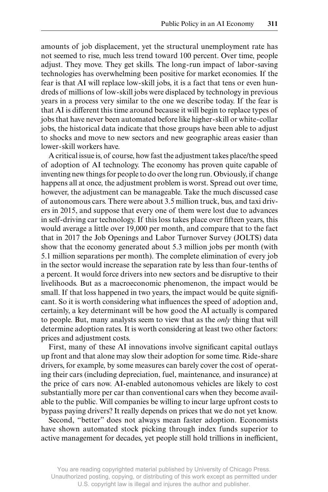amounts of job displacement, yet the structural unemployment rate has not seemed to rise, much less trend toward 100 percent. Over time, people adjust. They move. They get skills. The long-run impact of labor-saving technologies has overwhelming been positive for market economies. If the fear is that AI will replace low- skill jobs, it is a fact that tens or even hundreds of millions of low- skill jobs were displaced by technology in previous years in a process very similar to the one we describe today. If the fear is that AI is different this time around because it will begin to replace types of jobs that have never been automated before like higher- skill or white- collar jobs, the historical data indicate that those groups have been able to adjust to shocks and move to new sectors and new geographic areas easier than lower-skill workers have.

A critical issue is, of course, how fast the adjustment takes place/the speed of adoption of AI technology. The economy has proven quite capable of inventing new things for people to do over the long run. Obviously, if change happens all at once, the adjustment problem is worst. Spread out over time, however, the adjustment can be manageable. Take the much discussed case of autonomous cars. There were about 3.5 million truck, bus, and taxi drivers in 2015, and suppose that every one of them were lost due to advances in self-driving car technology. If this loss takes place over fifteen years, this would average a little over 19,000 per month, and compare that to the fact that in 2017 the Job Openings and Labor Turnover Survey (JOLTS) data show that the economy generated about 5.3 million jobs per month (with 5.1 million separations per month). The complete elimination of every job in the sector would increase the separation rate by less than four- tenths of a percent. It would force drivers into new sectors and be disruptive to their livelihoods. But as a macroeconomic phenomenon, the impact would be small. If that loss happened in two years, the impact would be quite significant. So it is worth considering what influences the speed of adoption and, certainly, a key determinant will be how good the AI actually is compared to people. But, many analysts seem to view that as the *only* thing that will determine adoption rates. It is worth considering at least two other factors: prices and adjustment costs.

First, many of these AI innovations involve significant capital outlays up front and that alone may slow their adoption for some time. Ride- share drivers, for example, by some measures can barely cover the cost of operating their cars (including depreciation, fuel, maintenance, and insurance) at the price of cars now. AI- enabled autonomous vehicles are likely to cost substantially more per car than conventional cars when they become available to the public. Will companies be willing to incur large upfront costs to bypass paying drivers? It really depends on prices that we do not yet know.

Second, "better" does not always mean faster adoption. Economists have shown automated stock picking through index funds superior to active management for decades, yet people still hold trillions in inefficient,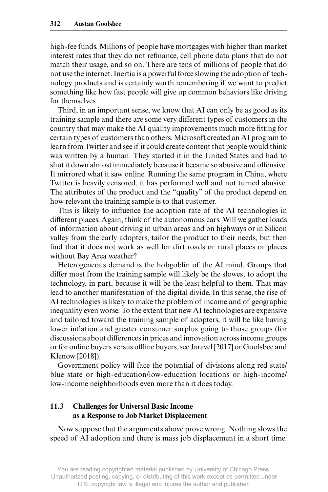high- fee funds. Millions of people have mortgages with higher than market interest rates that they do not refinance, cell phone data plans that do not match their usage, and so on. There are tens of millions of people that do not use the internet. Inertia is a powerful force slowing the adoption of technology products and is certainly worth remembering if we want to predict something like how fast people will give up common behaviors like driving for themselves.

Third, in an important sense, we know that AI can only be as good as its training sample and there are some very different types of customers in the country that may make the AI quality improvements much more fitting for certain types of customers than others. Microsoft created an AI program to learn from Twitter and see if it could create content that people would think was written by a human. They started it in the United States and had to shut it down almost immediately because it became so abusive and offensive. It mirrored what it saw online. Running the same program in China, where Twitter is heavily censored, it has performed well and not turned abusive. The attributes of the product and the "quality" of the product depend on how relevant the training sample is to that customer.

This is likely to influence the adoption rate of the AI technologies in different places. Again, think of the autonomous cars. Will we gather loads of information about driving in urban areas and on highways or in Silicon valley from the early adopters, tailor the product to their needs, but then find that it does not work as well for dirt roads or rural places or places without Bay Area weather?

Heterogeneous demand is the hobgoblin of the AI mind. Groups that differ most from the training sample will likely be the slowest to adopt the technology, in part, because it will be the least helpful to them. That may lead to another manifestation of the digital divide. In this sense, the rise of AI technologies is likely to make the problem of income and of geographic inequality even worse. To the extent that new AI technologies are expensive and tailored toward the training sample of adopters, it will be like having lower inflation and greater consumer surplus going to those groups (for discussions about differences in prices and innovation across income groups or for online buyers versus offline buyers, see Jaravel [2017] or Goolsbee and Klenow [2018]).

Government policy will face the potential of divisions along red state/ blue state or high-education/low-education locations or high-income/ low- income neighborhoods even more than it does today.

### **11.3 Challenges for Universal Basic Income as a Response to Job Market Displacement**

Now suppose that the arguments above prove wrong. Nothing slows the speed of AI adoption and there is mass job displacement in a short time.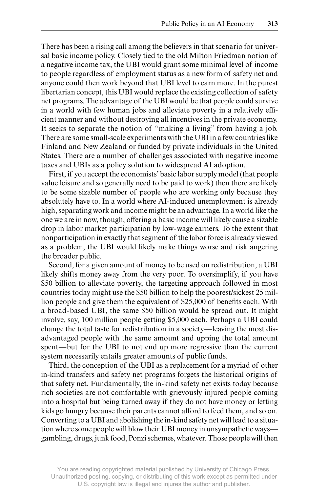There has been a rising call among the believers in that scenario for universal basic income policy. Closely tied to the old Milton Friedman notion of a negative income tax, the UBI would grant some minimal level of income to people regardless of employment status as a new form of safety net and anyone could then work beyond that UBI level to earn more. In the purest libertarian concept, this UBI would replace the existing collection of safety net programs. The advantage of the UBI would be that people could survive in a world with few human jobs and alleviate poverty in a relatively efficient manner and without destroying all incentives in the private economy. It seeks to separate the notion of "making a living" from having a job. There are some small- scale experiments with the UBI in a few countries like Finland and New Zealand or funded by private individuals in the United States. There are a number of challenges associated with negative income taxes and UBIs as a policy solution to widespread AI adoption.

First, if you accept the economists' basic labor supply model (that people value leisure and so generally need to be paid to work) then there are likely to be some sizable number of people who are working only because they absolutely have to. In a world where AI- induced unemployment is already high, separating work and income might be an advantage. In a world like the one we are in now, though, offering a basic income will likely cause a sizable drop in labor market participation by low- wage earners. To the extent that nonparticipation in exactly that segment of the labor force is already viewed as a problem, the UBI would likely make things worse and risk angering the broader public.

Second, for a given amount of money to be used on redistribution, a UBI likely shifts money away from the very poor. To oversimplify, if you have \$50 billion to alleviate poverty, the targeting approach followed in most countries today might use the \$50 billion to help the poorest/sickest 25 million people and give them the equivalent of \$25,000 of benefits each. With a broad- based UBI, the same \$50 billion would be spread out. It might involve, say, 100 million people getting \$5,000 each. Perhaps a UBI could change the total taste for redistribution in a society—leaving the most disadvantaged people with the same amount and upping the total amount spent—but for the UBI to not end up more regressive than the current system necessarily entails greater amounts of public funds.

Third, the conception of the UBI as a replacement for a myriad of other in-kind transfers and safety net programs forgets the historical origins of that safety net. Fundamentally, the in-kind safety net exists today because rich societies are not comfortable with grievously injured people coming into a hospital but being turned away if they do not have money or letting kids go hungry because their parents cannot afford to feed them, and so on. Converting to a UBI and abolishing the in-kind safety net will lead to a situation where some people will blow their UBI money in unsympathetic ways gambling, drugs, junk food, Ponzi schemes, whatever. Those people will then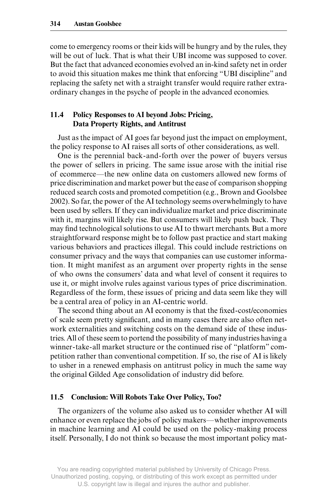come to emergency rooms or their kids will be hungry and by the rules, they will be out of luck. That is what their UBI income was supposed to cover. But the fact that advanced economies evolved an in-kind safety net in order to avoid this situation makes me think that enforcing "UBI discipline" and replacing the safety net with a straight transfer would require rather extraordinary changes in the psyche of people in the advanced economies.

### **11.4 Policy Responses to AI beyond Jobs: Pricing, Data Property Rights, and Antitrust**

Just as the impact of AI goes far beyond just the impact on employment, the policy response to AI raises all sorts of other considerations, as well.

One is the perennial back- and- forth over the power of buyers versus the power of sellers in pricing. The same issue arose with the initial rise of ecommerce—the new online data on customers allowed new forms of price discrimination and market power but the ease of comparison shopping reduced search costs and promoted competition (e.g., Brown and Goolsbee 2002). So far, the power of the AI technology seems overwhelmingly to have been used by sellers. If they can individualize market and price discriminate with it, margins will likely rise. But consumers will likely push back. They may find technological solutions to use AI to thwart merchants. But a more straightforward response might be to follow past practice and start making various behaviors and practices illegal. This could include restrictions on consumer privacy and the ways that companies can use customer information. It might manifest as an argument over property rights in the sense of who owns the consumers' data and what level of consent it requires to use it, or might involve rules against various types of price discrimination. Regardless of the form, these issues of pricing and data seem like they will be a central area of policy in an AI-centric world.

The second thing about an AI economy is that the fixed-cost/ economies of scale seem pretty significant, and in many cases there are also often network externalities and switching costs on the demand side of these industries. All of these seem to portend the possibility of many industries having a winner-take-all market structure or the continued rise of "platform" competition rather than conventional competition. If so, the rise of AI is likely to usher in a renewed emphasis on antitrust policy in much the same way the original Gilded Age consolidation of industry did before.

#### **11.5 Conclusion: Will Robots Take Over Policy, Too?**

The organizers of the volume also asked us to consider whether AI will enhance or even replace the jobs of policy makers—whether improvements in machine learning and AI could be used on the policy-making process itself. Personally, I do not think so because the most important policy mat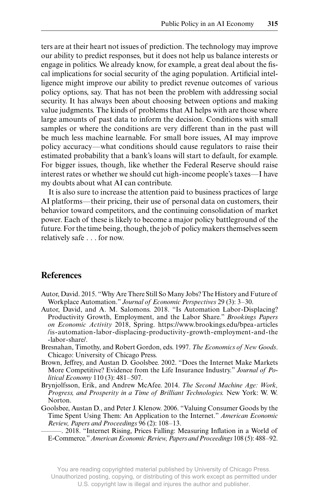ters are at their heart not issues of prediction. The technology may improve our ability to predict responses, but it does not help us balance interests or engage in politics. We already know, for example, a great deal about the fiscal implications for social security of the aging population. Artificial intelligence might improve our ability to predict revenue outcomes of various policy options, say. That has not been the problem with addressing social security. It has always been about choosing between options and making value judgments. The kinds of problems that AI helps with are those where large amounts of past data to inform the decision. Conditions with small samples or where the conditions are very different than in the past will be much less machine learnable. For small bore issues, AI may improve policy accuracy—what conditions should cause regulators to raise their estimated probability that a bank's loans will start to default, for example. For bigger issues, though, like whether the Federal Reserve should raise interest rates or whether we should cut high- income people's taxes—I have my doubts about what AI can contribute.

It is also sure to increase the attention paid to business practices of large AI platforms—their pricing, their use of personal data on customers, their behavior toward competitors, and the continuing consolidation of market power. Each of these is likely to become a major policy battleground of the future. For the time being, though, the job of policy makers themselves seem relatively safe . . . for now.

## **References**

- Autor, David. 2015. "Why Are There Still So Many Jobs? The History and Future of Workplace Automation." *Journal of Economic Perspectives* 29 (3): 3– 30.
- Autor, David, and A. M. Salomons. 2018. "Is Automation Labor-Displacing? Productivity Growth, Employment, and the Labor Share." *Brookings Papers on Economic Activity* 2018, Spring. https:// www .brookings .edu/ bpea- articles / is- automation- labor- displacing- productivity- growth- employment- and- the -labor-share/.
- Bresnahan, Timothy, and Robert Gordon, eds. 1997. *The Economics of New Goods*. Chicago: University of Chicago Press.
- Brown, Jeffrey, and Austan D. Goolsbee. 2002. "Does the Internet Make Markets More Competitive? Evidence from the Life Insurance Industry." *Journal of Political Economy* 110 (3): 481-507.
- Brynjolfsson, Erik, and Andrew McAfee. 2014. *The Second Machine Age: Work, Progress, and Prosperity in a Time of Brilliant Technologies.* New York: W. W. Norton.
- Goolsbee, Austan D., and Peter J. Klenow. 2006. "Valuing Consumer Goods by the Time Spent Using Them: An Application to the Internet." *American Economic Review, Papers and Proceedings* 96 (2): 108– 13.

–. 2018. "Internet Rising, Prices Falling: Measuring Inflation in a World of E-Commerce." American Economic Review, Papers and Proceedings 108 (5): 488-92.

You are reading copyrighted material published by University of Chicago Press. Unauthorized posting, copying, or distributing of this work except as permitted under U.S. copyright law is illegal and injures the author and publisher.